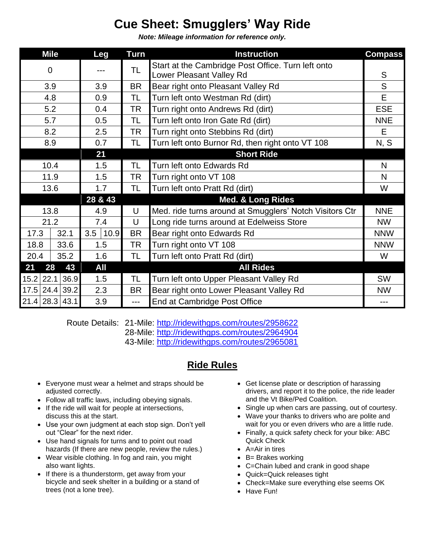## **Cue Sheet: Smugglers' Way Ride**

*Note: Mileage information for reference only.*

| <b>Mile</b>    |                  | Leg         | <b>Turn</b> | <b>Instruction</b>                                      | <b>Compass</b> |
|----------------|------------------|-------------|-------------|---------------------------------------------------------|----------------|
| 0              |                  |             | TL          | Start at the Cambridge Post Office. Turn left onto      |                |
|                |                  |             |             | Lower Pleasant Valley Rd                                | S              |
| 3.9            |                  | 3.9         | <b>BR</b>   | Bear right onto Pleasant Valley Rd                      | S              |
| 4.8            |                  | 0.9         | TL          | Turn left onto Westman Rd (dirt)                        | E              |
| 5.2            |                  | 0.4         | <b>TR</b>   | Turn right onto Andrews Rd (dirt)                       | <b>ESE</b>     |
| 5.7            |                  | 0.5         | <b>TL</b>   | Turn left onto Iron Gate Rd (dirt)                      | <b>NNE</b>     |
| 8.2            |                  | 2.5         | <b>TR</b>   | Turn right onto Stebbins Rd (dirt)                      | E              |
| 8.9            |                  | 0.7         | TL          | Turn left onto Burnor Rd, then right onto VT 108        | N, S           |
|                |                  | 21          |             | <b>Short Ride</b>                                       |                |
| 10.4           |                  | 1.5         | TL          | Turn left onto Edwards Rd                               | N              |
| 11.9           |                  | 1.5         | TR          | Turn right onto VT 108                                  | N              |
| 13.6           |                  | 1.7         | <b>TL</b>   | Turn left onto Pratt Rd (dirt)                          | W              |
|                |                  | 28 & 43     |             | <b>Med. &amp; Long Rides</b>                            |                |
| 13.8           |                  | 4.9         | U           | Med. ride turns around at Smugglers' Notch Visitors Ctr | <b>NNE</b>     |
| 21.2           |                  | 7.4         | U           | Long ride turns around at Edelweiss Store               | <b>NW</b>      |
| 17.3           | 32.1             | 3.5<br>10.9 | <b>BR</b>   | Bear right onto Edwards Rd                              | <b>NNW</b>     |
| 18.8           | 33.6             | 1.5         | TR          | Turn right onto VT 108                                  | <b>NNW</b>     |
| 20.4           | 35.2             | 1.6         | <b>TL</b>   | Turn left onto Pratt Rd (dirt)                          | W              |
| 28<br>43<br>21 |                  | All         |             | <b>All Rides</b>                                        |                |
| $15.2$ 22.1    | 36.9             | 1.5         | <b>TL</b>   | Turn left onto Upper Pleasant Valley Rd                 | <b>SW</b>      |
|                | 17.5 24.4 39.2   | 2.3         | <b>BR</b>   | Bear right onto Lower Pleasant Valley Rd                | <b>NW</b>      |
|                | $21.4$ 28.3 43.1 | 3.9         | $---$       | End at Cambridge Post Office                            | ---            |

Route Details: 21-Mile:<http://ridewithgps.com/routes/2958622>

28-Mile:<http://ridewithgps.com/routes/2964904>

43-Mile:<http://ridewithgps.com/routes/2965081>

## **Ride Rules**

- Everyone must wear a helmet and straps should be adjusted correctly.
- Follow all traffic laws, including obeying signals.
- If the ride will wait for people at intersections, discuss this at the start.
- Use your own judgment at each stop sign. Don't yell out "Clear" for the next rider.
- Use hand signals for turns and to point out road hazards (If there are new people, review the rules.)
- Wear visible clothing. In fog and rain, you might also want lights.
- If there is a thunderstorm, get away from your bicycle and seek shelter in a building or a stand of trees (not a lone tree).
- Get license plate or description of harassing drivers, and report it to the police, the ride leader and the Vt Bike/Ped Coalition.
- Single up when cars are passing, out of courtesy.
- Wave your thanks to drivers who are polite and wait for you or even drivers who are a little rude.
- Finally, a quick safety check for your bike: ABC Quick Check
- A=Air in tires
- B= Brakes working
- C=Chain lubed and crank in good shape
- Quick=Quick releases tight
- Check=Make sure everything else seems OK
- Have Fun!